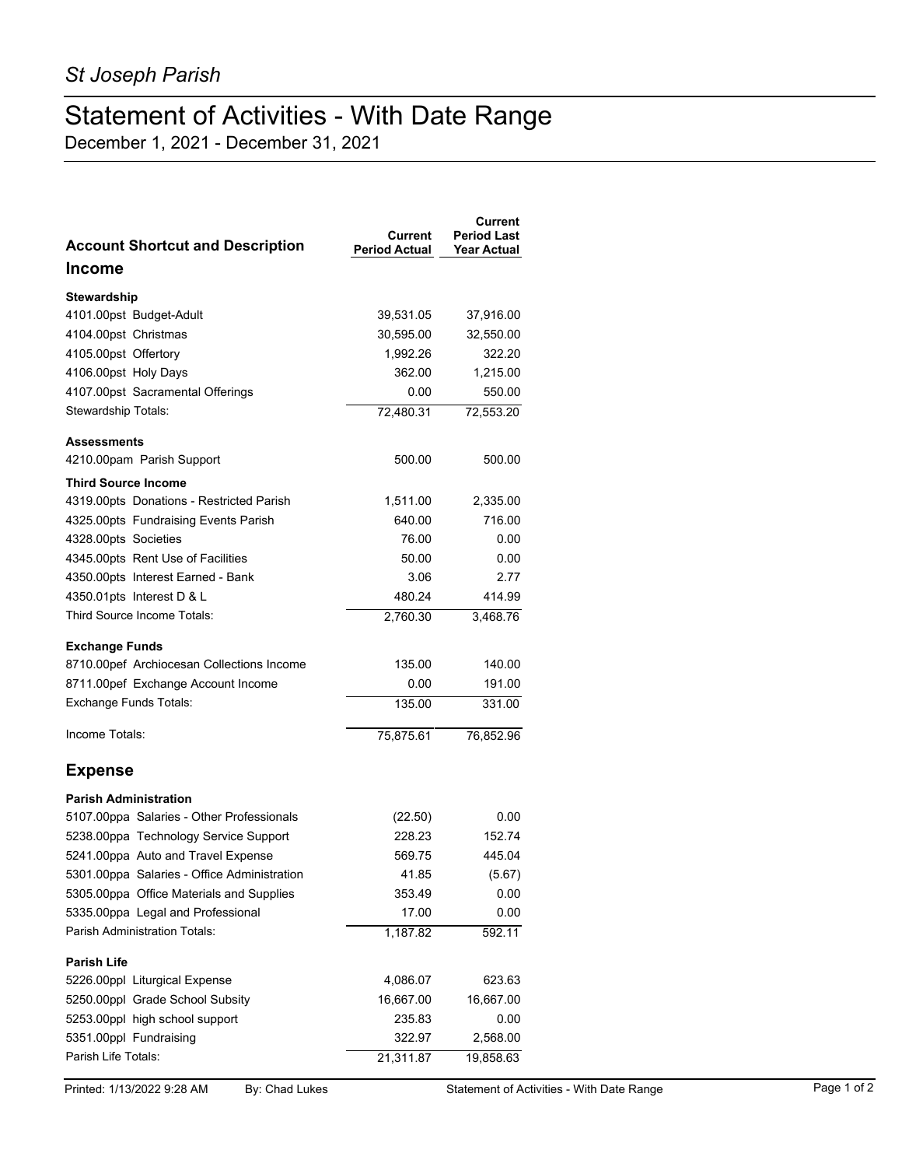## Statement of Activities - With Date Range

December 1, 2021 - December 31, 2021

| <b>Account Shortcut and Description</b>     | Current<br><b>Period Actual</b> | Current<br><b>Period Last</b><br><b>Year Actual</b> |
|---------------------------------------------|---------------------------------|-----------------------------------------------------|
| <b>Income</b>                               |                                 |                                                     |
| Stewardship                                 |                                 |                                                     |
| 4101.00pst Budget-Adult                     | 39,531.05                       | 37,916.00                                           |
| 4104.00pst Christmas                        | 30,595.00                       | 32,550.00                                           |
| 4105.00pst Offertory                        | 1,992.26                        | 322.20                                              |
| 4106.00pst Holy Days                        | 362.00                          | 1,215.00                                            |
| 4107.00pst Sacramental Offerings            | 0.00                            | 550.00                                              |
| Stewardship Totals:                         | 72,480.31                       | 72,553.20                                           |
| <b>Assessments</b>                          |                                 |                                                     |
| 4210.00pam Parish Support                   | 500.00                          | 500.00                                              |
| <b>Third Source Income</b>                  |                                 |                                                     |
| 4319.00pts Donations - Restricted Parish    | 1,511.00                        | 2,335.00                                            |
| 4325.00pts Fundraising Events Parish        | 640.00                          | 716.00                                              |
| 4328.00pts Societies                        | 76.00                           | 0.00                                                |
| 4345.00pts Rent Use of Facilities           | 50.00                           | 0.00                                                |
| 4350.00pts Interest Earned - Bank           | 3.06                            | 2.77                                                |
| 4350.01pts Interest D & L                   | 480.24                          | 414.99                                              |
| Third Source Income Totals:                 | 2,760.30                        | 3,468.76                                            |
| <b>Exchange Funds</b>                       |                                 |                                                     |
| 8710.00pef Archiocesan Collections Income   | 135.00                          | 140.00                                              |
| 8711.00pef Exchange Account Income          | 0.00                            | 191.00                                              |
| <b>Exchange Funds Totals:</b>               | 135.00                          | 331.00                                              |
| Income Totals:                              | 75,875.61                       | 76,852.96                                           |
| <b>Expense</b>                              |                                 |                                                     |
| <b>Parish Administration</b>                |                                 |                                                     |
| 5107.00ppa Salaries - Other Professionals   | (22.50)                         | 0.00                                                |
| 5238.00ppa Technology Service Support       | 228.23                          | 152.74                                              |
| 5241.00ppa Auto and Travel Expense          | 569.75                          | 445.04                                              |
| 5301.00ppa Salaries - Office Administration | 41.85                           | (5.67)                                              |
| 5305.00ppa Office Materials and Supplies    | 353.49                          | 0.00                                                |
| 5335.00ppa Legal and Professional           | 17.00                           | 0.00                                                |
| Parish Administration Totals:               | 1,187.82                        | 592.11                                              |
| <b>Parish Life</b>                          |                                 |                                                     |
| 5226.00ppl Liturgical Expense               | 4,086.07                        | 623.63                                              |
| 5250.00ppl Grade School Subsity             | 16,667.00                       | 16,667.00                                           |
| 5253.00ppl high school support              | 235.83                          | 0.00                                                |
| 5351.00ppl Fundraising                      | 322.97                          | 2,568.00                                            |
| Parish Life Totals:                         | 21,311.87                       | 19,858.63                                           |